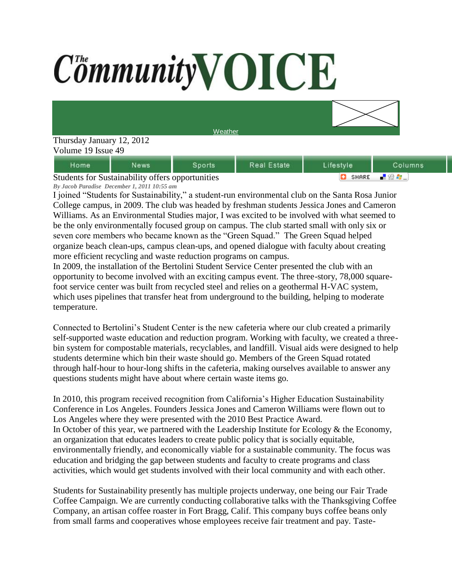## CommunityVOICE

**[Weather](http://www.accuweather.com/us/CA/ROHNERT%20PARK/94928/city-weather-forecast.asp?partner=netweather&traveler=0)** 

## Thursday January 12, 2012 Volume 19 Issue 49

| Home                                                    | News | Snorts | <b>Real Estate</b> | Lifestvle       | Columns |
|---------------------------------------------------------|------|--------|--------------------|-----------------|---------|
| <b>Students for Sustainability offers opportunities</b> |      |        |                    | - 99 A<br>SHARE |         |

Students for Sustainability offers opportunities *By Jacob Paradise December 1, 2011 10:55 am*

I joined "Students for Sustainability," a student-run environmental club on the Santa Rosa Junior College campus, in 2009. The club was headed by freshman students Jessica Jones and Cameron Williams. As an Environmental Studies major, I was excited to be involved with what seemed to be the only environmentally focused group on campus. The club started small with only six or seven core members who became known as the "Green Squad." The Green Squad helped organize beach clean-ups, campus clean-ups, and opened dialogue with faculty about creating more efficient recycling and waste reduction programs on campus.

In 2009, the installation of the Bertolini Student Service Center presented the club with an opportunity to become involved with an exciting campus event. The three-story, 78,000 squarefoot service center was built from recycled steel and relies on a geothermal H-VAC system, which uses pipelines that transfer heat from underground to the building, helping to moderate temperature.

Connected to Bertolini's Student Center is the new cafeteria where our club created a primarily self-supported waste education and reduction program. Working with faculty, we created a threebin system for compostable materials, recyclables, and landfill. Visual aids were designed to help students determine which bin their waste should go. Members of the Green Squad rotated through half-hour to hour-long shifts in the cafeteria, making ourselves available to answer any questions students might have about where certain waste items go.

In 2010, this program received recognition from California's Higher Education Sustainability Conference in Los Angeles. Founders Jessica Jones and Cameron Williams were flown out to Los Angeles where they were presented with the 2010 Best Practice Award. In October of this year, we partnered with the Leadership Institute for Ecology  $\&$  the Economy, an organization that educates leaders to create public policy that is socially equitable, environmentally friendly, and economically viable for a sustainable community. The focus was education and bridging the gap between students and faculty to create programs and class activities, which would get students involved with their local community and with each other.

Students for Sustainability presently has multiple projects underway, one being our Fair Trade Coffee Campaign. We are currently conducting collaborative talks with the Thanksgiving Coffee Company, an artisan coffee roaster in Fort Bragg, Calif. This company buys coffee beans only from small farms and cooperatives whose employees receive fair treatment and pay. Taste